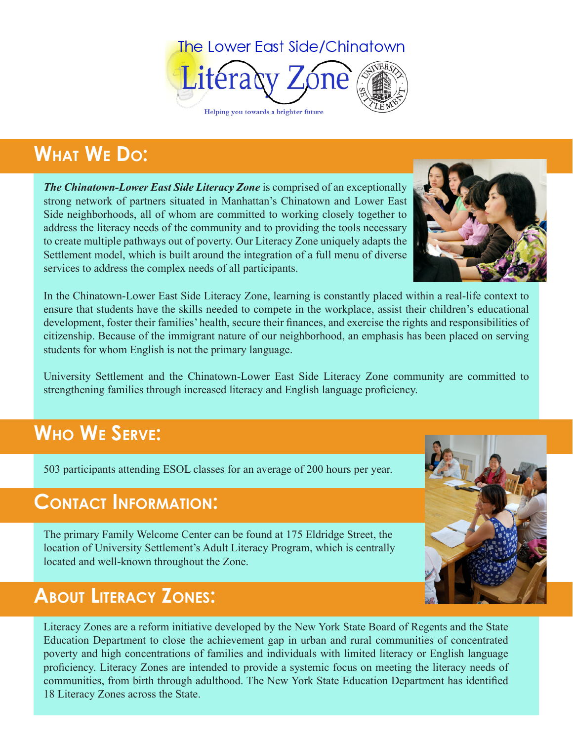

## **What We Do:**

*The Chinatown-Lower East Side Literacy Zone* is comprised of an exceptionally strong network of partners situated in Manhattan's Chinatown and Lower East Side neighborhoods, all of whom are committed to working closely together to address the literacy needs of the community and to providing the tools necessary to create multiple pathways out of poverty. Our Literacy Zone uniquely adapts the Settlement model, which is built around the integration of a full menu of diverse services to address the complex needs of all participants.



In the Chinatown-Lower East Side Literacy Zone, learning is constantly placed within a real-life context to ensure that students have the skills needed to compete in the workplace, assist their children's educational development, foster their families' health, secure their finances, and exercise the rights and responsibilities of citizenship. Because of the immigrant nature of our neighborhood, an emphasis has been placed on serving students for whom English is not the primary language.

University Settlement and the Chinatown-Lower East Side Literacy Zone community are committed to strengthening families through increased literacy and English language proficiency.

## **Who We Serve:**

503 participants attending ESOL classes for an average of 200 hours per year.

#### **Contact Information:**

The primary Family Welcome Center can be found at 175 Eldridge Street, the location of University Settlement's Adult Literacy Program, which is centrally located and well-known throughout the Zone.

## **About Literacy Zones:**

Literacy Zones are a reform initiative developed by the New York State Board of Regents and the State Education Department to close the achievement gap in urban and rural communities of concentrated poverty and high concentrations of families and individuals with limited literacy or English language proficiency. Literacy Zones are intended to provide a systemic focus on meeting the literacy needs of communities, from birth through adulthood. The New York State Education Department has identified 18 Literacy Zones across the State.